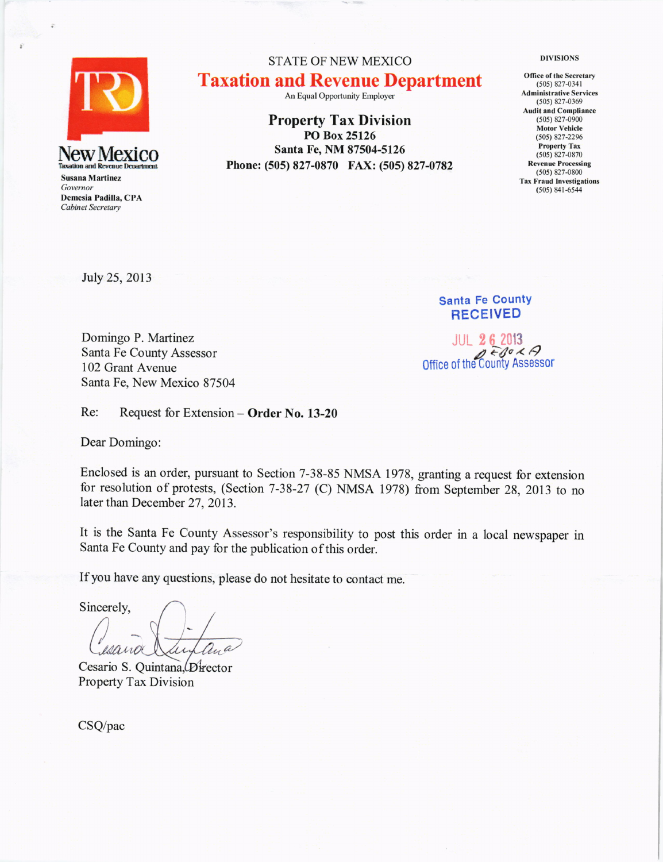

Susana Martinez Governor Demesia Padilla, CPA Cabinet Secretary

STATE OF NEW MEXICO Taxation and Revenue Department

An Equal Opportunity Employer

Property Tax Division PO Box 25126 Santa Fe, NM 87504-5126 Phone: (505) 827-0870 FAX: (505) 827-0782 DIVISIONS

Office of the Secretary  $(505)$  827-0341 Administrative Seruices (505) 827-0369 Audit and Compliance (50s) 827-0900 Motor Vehicle (50s) 827-2296 Property Tax (s05) 827-0870 Revenue Processing (505) 827-0800 Tax Fraud lnvestigations  $(505) 841 - 6544$ 

July 25,2013

Santa Fe CountY RECEIVED

JUL 2 6 <sup>2013</sup> Office of the County Assessor

Domingo P. Martinez Santa Fe County Assessor 102 Grant Avenue Santa Fe, New Mexico 87504

Re: Request for Extension - Order No. 13-20

Dear Domingo:

Enclosed is an order, pursuant to Section 7-38-85 NMSA 1978, granting a request for extension for resolution of protests, (Section 7-38-27 (C) NMSA 1978) from September 28, 2013 to no later than December 27, 2013.

It is the Santa Fe County Assessor's responsibility to post this order in a local newspaper in Santa Fe County and pay for the publication of this order.

If you have any questions, please do not hesitate to contact me.

Sincerely, Cesaño

Cesario S. Quintana, Director Property Tax Division

CSQ/pac